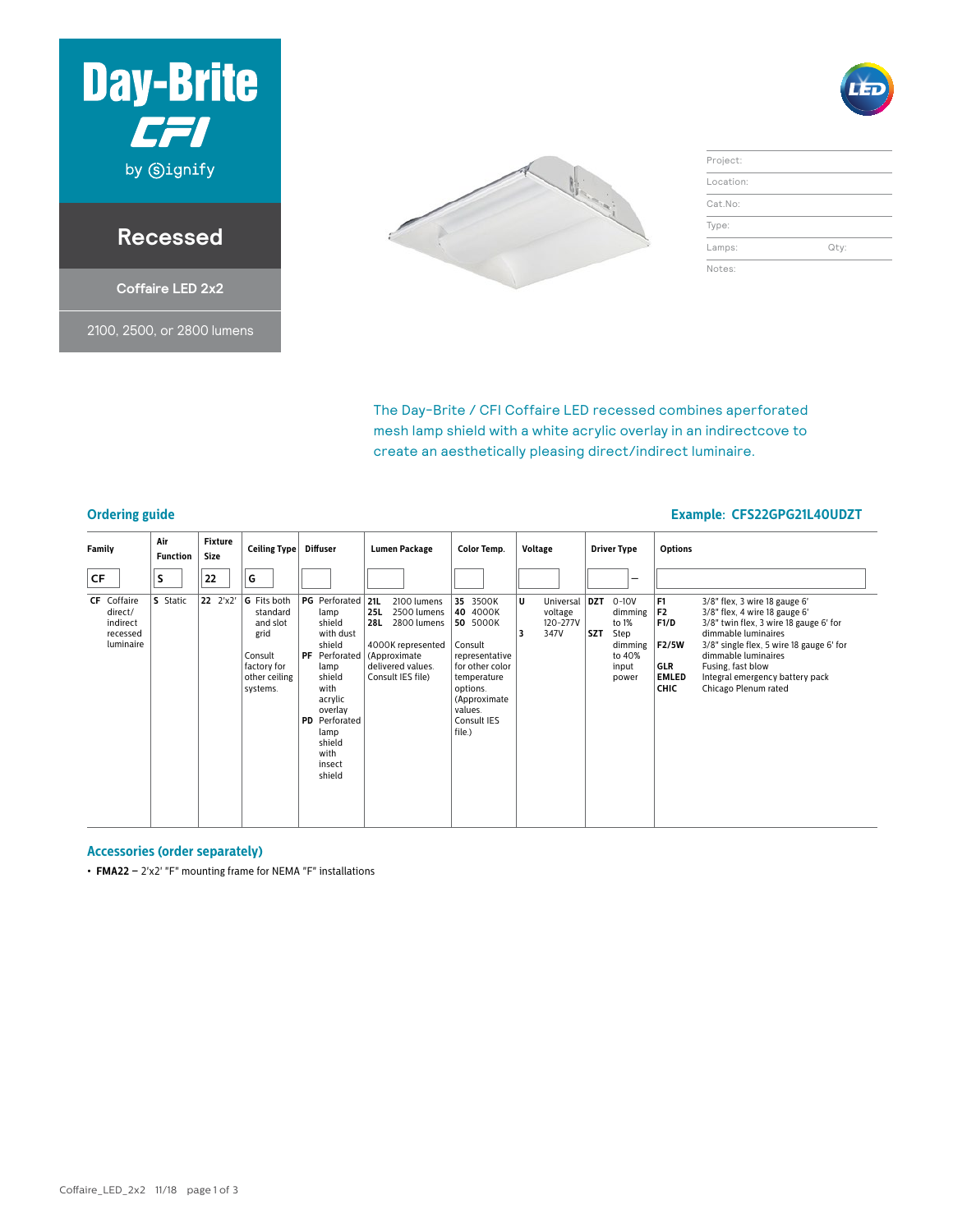

#### **Recessed**

**Coffaire LED 2x2**

2100, 2500, or 2800 lumens



| Project:  |      |
|-----------|------|
| Location: |      |
| Cat.No:   |      |
| Type:     |      |
| Lamps:    | Qty: |
| Notes:    |      |

The Day-Brite / CFI Coffaire LED recessed combines aperforated mesh lamp shield with a white acrylic overlay in an indirectcove to create an aesthetically pleasing direct/indirect luminaire.

#### **Ordering guide Example: CFS22GPG21L40UDZT**

| Family                                                             | Air<br><b>Function</b> | <b>Fixture</b><br><b>Size</b> | Ceiling Type                                                                                              | Diffuser                                                                                                                                                                                             | <b>Lumen Package</b>                                                                                                                                        | <b>Color Temp.</b>                                                                                                                                              | Voltage                                                  | <b>Driver Type</b>                                                                         | <b>Options</b>                                                                                                                                                                                                                                                                                                                                                                     |
|--------------------------------------------------------------------|------------------------|-------------------------------|-----------------------------------------------------------------------------------------------------------|------------------------------------------------------------------------------------------------------------------------------------------------------------------------------------------------------|-------------------------------------------------------------------------------------------------------------------------------------------------------------|-----------------------------------------------------------------------------------------------------------------------------------------------------------------|----------------------------------------------------------|--------------------------------------------------------------------------------------------|------------------------------------------------------------------------------------------------------------------------------------------------------------------------------------------------------------------------------------------------------------------------------------------------------------------------------------------------------------------------------------|
| CF                                                                 | S                      | 22                            | G                                                                                                         |                                                                                                                                                                                                      |                                                                                                                                                             |                                                                                                                                                                 |                                                          | -                                                                                          |                                                                                                                                                                                                                                                                                                                                                                                    |
| <b>CF</b> Coffaire<br>direct/<br>indirect<br>recessed<br>luminaire | <b>S</b> Static        | 22 2'x2'                      | <b>G</b> Fits both<br>standard<br>and slot<br>grid<br>Consult<br>factory for<br>other ceiling<br>systems. | <b>PG</b> Perforated<br>lamp<br>shield<br>with dust<br>shield<br>PF Perforated<br>lamp<br>shield<br>with<br>acrylic<br>overlay<br><b>PD</b> Perforated<br>lamp<br>shield<br>with<br>insect<br>shield | 21L<br>2100 lumens<br><b>25L</b><br>2500 lumens<br><b>28L</b><br>2800 lumens<br>4000K represented<br>(Approximate<br>delivered values.<br>Consult IES file) | 35 3500K<br>40 4000K<br>50 5000K<br>Consult<br>representative<br>for other color<br>temperature<br>options.<br>(Approximate<br>values.<br>Consult IES<br>file.) | U<br>Universal   DZT<br>voltage<br>120-277V<br>347V<br>3 | $0 - 10V$<br>dimming<br>to 1%<br><b>SZT</b><br>Step<br>dimming<br>to 40%<br>input<br>power | F <sub>1</sub><br>$3/8"$ flex, 3 wire 18 gauge 6'<br>F <sub>2</sub><br>$3/8$ " flex, 4 wire 18 gauge 6'<br>F1/D<br>3/8" twin flex, 3 wire 18 gauge 6' for<br>dimmable luminaires<br>F2/5W<br>3/8" single flex, 5 wire 18 gauge 6' for<br>dimmable luminaires<br>GLR<br>Fusing, fast blow<br><b>EMLED</b><br>Integral emergency battery pack<br><b>CHIC</b><br>Chicago Plenum rated |

#### **Accessories (order separately)**

**• FMA22 –** 2'x2' "F" mounting frame for NEMA "F" installations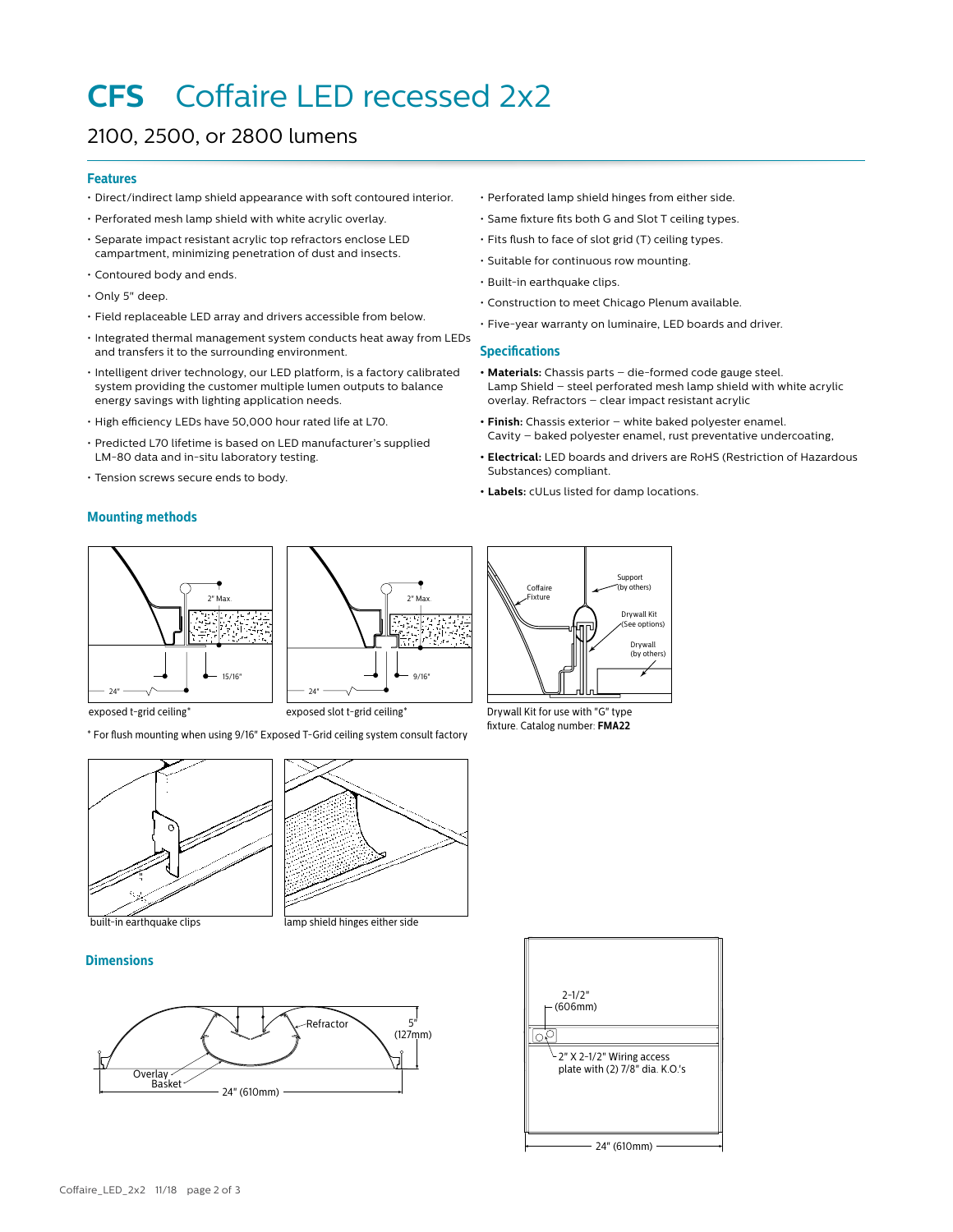## **CFS** Coffaire LED recessed 2x2

#### 2100, 2500, or 2800 lumens

#### **Features**

- Direct/indirect lamp shield appearance with soft contoured interior.
- Perforated mesh lamp shield with white acrylic overlay.
- Separate impact resistant acrylic top refractors enclose LED campartment, minimizing penetration of dust and insects.
- Contoured body and ends.
- Only 5" deep.
- Field replaceable LED array and drivers accessible from below.
- Integrated thermal management system conducts heat away from LEDs and transfers it to the surrounding environment.
- Intelligent driver technology, our LED platform, is a factory calibrated system providing the customer multiple lumen outputs to balance energy savings with lighting application needs.
- High efficiency LEDs have 50,000 hour rated life at L70.
- Predicted L70 lifetime is based on LED manufacturer's supplied LM-80 data and in-situ laboratory testing.
- Tension screws secure ends to body.

#### **Mounting methods**

2" Max. 15/16"  $24'$ 



 $24"$ 

2" Max.

 $9/16"$ 

\* For flush mounting when using 9/16" Exposed T-Grid ceiling system consult factory

- Perforated lamp shield hinges from either side.
- Same fixture fits both G and Slot T ceiling types.
- Fits flush to face of slot grid (T) ceiling types.
- Suitable for continuous row mounting.
- Built-in earthquake clips.
- Construction to meet Chicago Plenum available.
- Five-year warranty on luminaire, LED boards and driver.

#### **Specifications**

- **• Materials:** Chassis parts die-formed code gauge steel. Lamp Shield – steel perforated mesh lamp shield with white acrylic overlay. Refractors – clear impact resistant acrylic
- **• Finish:** Chassis exterior white baked polyester enamel. Cavity – baked polyester enamel, rust preventative undercoating,
- **• Electrical:** LED boards and drivers are RoHS (Restriction of Hazardous Substances) compliant.
- **• Labels:** cULus listed for damp locations.



exposed t-grid ceiling\* exposed slot t-grid ceiling\* Drywall Kit for use with "G" type fixture. Catalog number: **FMA22**



# built-in earthquake clips lamp shield hinges either side

#### **Dimensions**